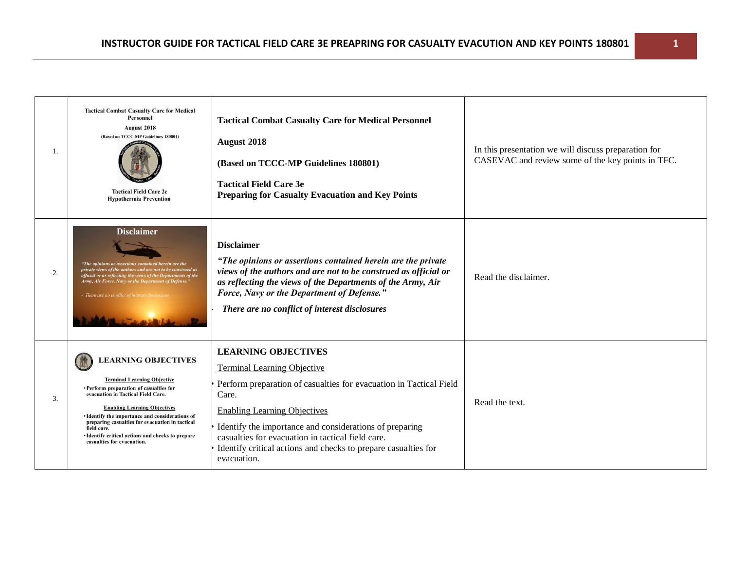| 1. | <b>Tactical Combat Casualty Care for Medical</b><br><b>Personnel</b><br>August 2018<br>(Based on TCCC-MP Guidelines 180801)<br><b>Tactical Field Care 2c</b><br><b>Hypothermia Prevention</b>                                                                                                                                                                                                    | <b>Tactical Combat Casualty Care for Medical Personnel</b><br><b>August 2018</b><br>(Based on TCCC-MP Guidelines 180801)<br><b>Tactical Field Care 3e</b><br><b>Preparing for Casualty Evacuation and Key Points</b>                                                                                                                                                                    | In this presentation we will discuss preparation for<br>CASEVAC and review some of the key points in TFC. |
|----|--------------------------------------------------------------------------------------------------------------------------------------------------------------------------------------------------------------------------------------------------------------------------------------------------------------------------------------------------------------------------------------------------|-----------------------------------------------------------------------------------------------------------------------------------------------------------------------------------------------------------------------------------------------------------------------------------------------------------------------------------------------------------------------------------------|-----------------------------------------------------------------------------------------------------------|
| 2. | <b>Disclaimer</b><br>"The opinions or assertions contained herein are the<br>private views of the authors and are not to be construed as<br>official or as reflecting the views of the Departments of the<br>Army, Air Force, Navy or the Department of Defense."<br>- There are no conflict of interest dise                                                                                    | <b>Disclaimer</b><br>"The opinions or assertions contained herein are the private<br>views of the authors and are not to be construed as official or<br>as reflecting the views of the Departments of the Army, Air<br>Force, Navy or the Department of Defense."<br>There are no conflict of interest disclosures                                                                      | Read the disclaimer.                                                                                      |
| 3. | <b>LEARNING OBJECTIVES</b><br><b>Terminal Learning Objective</b><br>• Perform preparation of casualties for<br>evacuation in Tactical Field Care.<br><b>Enabling Learning Objectives</b><br>· Identify the importance and considerations of<br>preparing casualties for evacuation in tactical<br>field care.<br>· Identify critical actions and checks to prepare<br>casualties for evacuation. | <b>LEARNING OBJECTIVES</b><br><b>Terminal Learning Objective</b><br>Perform preparation of casualties for evacuation in Tactical Field<br>Care.<br><b>Enabling Learning Objectives</b><br>Identify the importance and considerations of preparing<br>casualties for evacuation in tactical field care.<br>Identify critical actions and checks to prepare casualties for<br>evacuation. | Read the text.                                                                                            |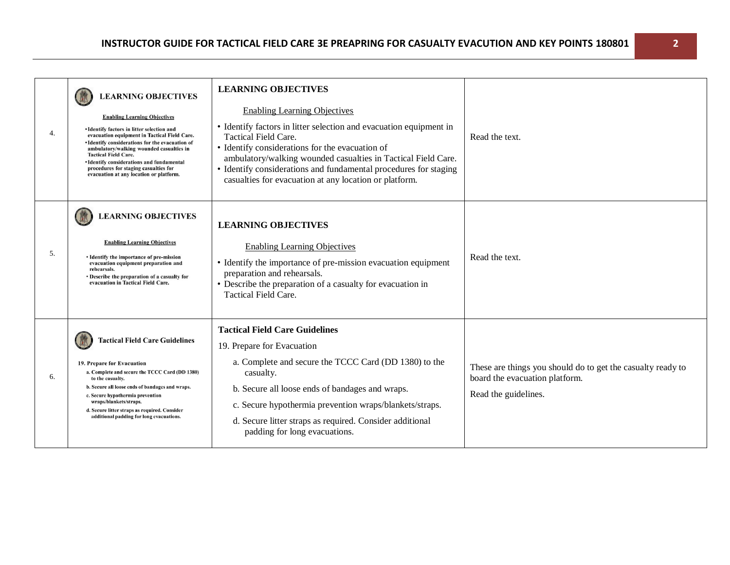| 4. | <b>LEARNING OBJECTIVES</b><br><b>Enabling Learning Objectives</b><br>• Identify factors in litter selection and<br>evacuation equipment in Tactical Field Care.<br>• Identify considerations for the evacuation of<br>ambulatory/walking wounded casualties in<br><b>Tactical Field Care.</b><br>· Identify considerations and fundamental<br>procedures for staging casualties for<br>evacuation at any location or platform. | <b>LEARNING OBJECTIVES</b><br><b>Enabling Learning Objectives</b><br>• Identify factors in litter selection and evacuation equipment in<br><b>Tactical Field Care.</b><br>• Identify considerations for the evacuation of<br>ambulatory/walking wounded casualties in Tactical Field Care.<br>• Identify considerations and fundamental procedures for staging<br>casualties for evacuation at any location or platform. | Read the text.                                                                                                        |
|----|--------------------------------------------------------------------------------------------------------------------------------------------------------------------------------------------------------------------------------------------------------------------------------------------------------------------------------------------------------------------------------------------------------------------------------|--------------------------------------------------------------------------------------------------------------------------------------------------------------------------------------------------------------------------------------------------------------------------------------------------------------------------------------------------------------------------------------------------------------------------|-----------------------------------------------------------------------------------------------------------------------|
| 5. | <b>LEARNING OBJECTIVES</b><br><b>Enabling Learning Objectives</b><br>• Identify the importance of pre-mission<br>evacuation equipment preparation and<br>rehearsals.<br>• Describe the preparation of a casualty for<br>evacuation in Tactical Field Care.                                                                                                                                                                     | <b>LEARNING OBJECTIVES</b><br><b>Enabling Learning Objectives</b><br>• Identify the importance of pre-mission evacuation equipment<br>preparation and rehearsals.<br>• Describe the preparation of a casualty for evacuation in<br>Tactical Field Care.                                                                                                                                                                  | Read the text.                                                                                                        |
| 6. | <b>Tactical Field Care Guidelines</b><br>19. Prepare for Evacuation<br>a. Complete and secure the TCCC Card (DD 1380)<br>to the casualty.<br>b. Secure all loose ends of bandages and wraps.<br>c. Secure hypothermia prevention<br>wraps/blankets/straps.<br>d. Secure litter straps as required. Consider<br>additional padding for long evacuations.                                                                        | <b>Tactical Field Care Guidelines</b><br>19. Prepare for Evacuation<br>a. Complete and secure the TCCC Card (DD 1380) to the<br>casualty.<br>b. Secure all loose ends of bandages and wraps.<br>c. Secure hypothermia prevention wraps/blankets/straps.<br>d. Secure litter straps as required. Consider additional<br>padding for long evacuations.                                                                     | These are things you should do to get the casualty ready to<br>board the evacuation platform.<br>Read the guidelines. |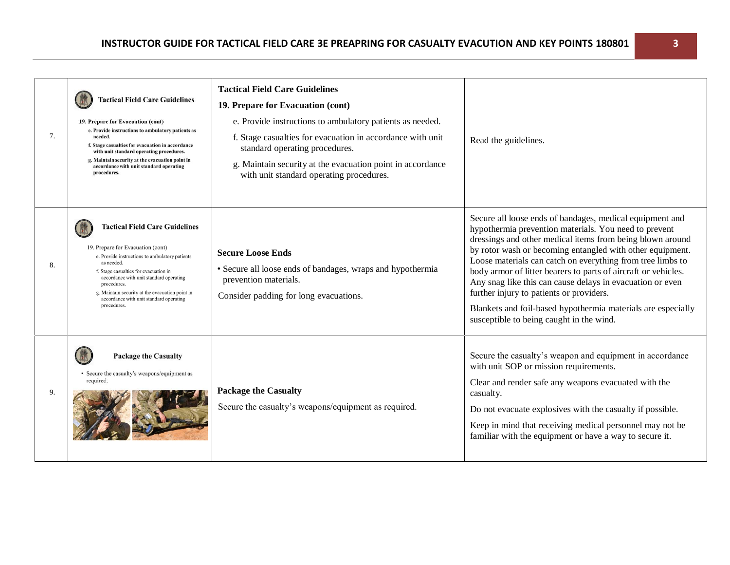| 7. | <b>Tactical Field Care Guidelines</b><br>19. Prepare for Evacuation (cont)<br>e. Provide instructions to ambulatory patients as<br>needed.<br>f. Stage casualties for evacuation in accordance<br>with unit standard operating procedures.<br>g. Maintain security at the evacuation point in<br>accordance with unit standard operating<br>procedures.    | <b>Tactical Field Care Guidelines</b><br>19. Prepare for Evacuation (cont)<br>e. Provide instructions to ambulatory patients as needed.<br>f. Stage casualties for evacuation in accordance with unit<br>standard operating procedures.<br>g. Maintain security at the evacuation point in accordance<br>with unit standard operating procedures. | Read the guidelines.                                                                                                                                                                                                                                                                                                                                                                                                                                                                                                                                                                             |
|----|------------------------------------------------------------------------------------------------------------------------------------------------------------------------------------------------------------------------------------------------------------------------------------------------------------------------------------------------------------|---------------------------------------------------------------------------------------------------------------------------------------------------------------------------------------------------------------------------------------------------------------------------------------------------------------------------------------------------|--------------------------------------------------------------------------------------------------------------------------------------------------------------------------------------------------------------------------------------------------------------------------------------------------------------------------------------------------------------------------------------------------------------------------------------------------------------------------------------------------------------------------------------------------------------------------------------------------|
| 8. | <b>Tactical Field Care Guidelines</b><br>19. Prepare for Evacuation (cont)<br>e. Provide instructions to ambulatory patients<br>as needed.<br>f. Stage casualties for evacuation in<br>accordance with unit standard operating<br>procedures.<br>g. Maintain security at the evacuation point in<br>accordance with unit standard operating<br>procedures. | <b>Secure Loose Ends</b><br>• Secure all loose ends of bandages, wraps and hypothermia<br>prevention materials.<br>Consider padding for long evacuations.                                                                                                                                                                                         | Secure all loose ends of bandages, medical equipment and<br>hypothermia prevention materials. You need to prevent<br>dressings and other medical items from being blown around<br>by rotor wash or becoming entangled with other equipment.<br>Loose materials can catch on everything from tree limbs to<br>body armor of litter bearers to parts of aircraft or vehicles.<br>Any snag like this can cause delays in evacuation or even<br>further injury to patients or providers.<br>Blankets and foil-based hypothermia materials are especially<br>susceptible to being caught in the wind. |
| 9. | <b>Package the Casualty</b><br>• Secure the casualty's weapons/equipment as<br>required.                                                                                                                                                                                                                                                                   | <b>Package the Casualty</b><br>Secure the casualty's weapons/equipment as required.                                                                                                                                                                                                                                                               | Secure the casualty's weapon and equipment in accordance<br>with unit SOP or mission requirements.<br>Clear and render safe any weapons evacuated with the<br>casualty.<br>Do not evacuate explosives with the casualty if possible.<br>Keep in mind that receiving medical personnel may not be<br>familiar with the equipment or have a way to secure it.                                                                                                                                                                                                                                      |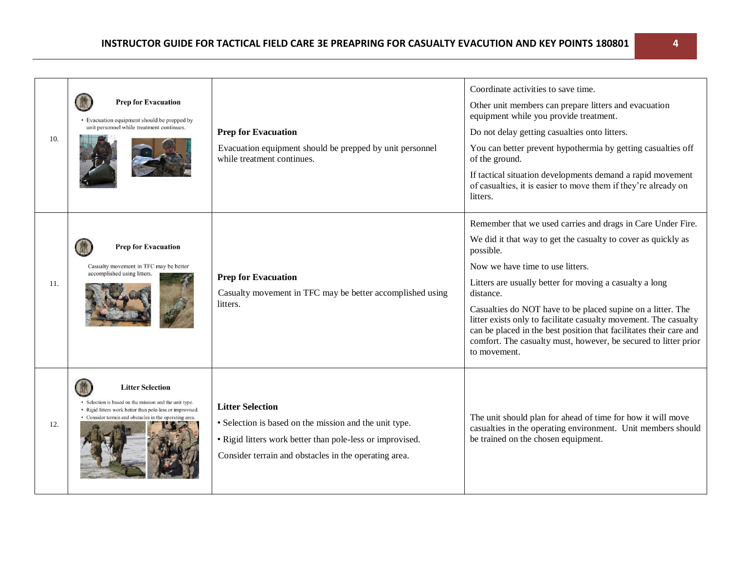| 10. | <b>Prep for Evacuation</b><br>• Evacuation equipment should be prepped by<br>unit personnel while treatment continues.                                                                                   | <b>Prep for Evacuation</b><br>Evacuation equipment should be prepped by unit personnel<br>while treatment continues.                                                                                    | Coordinate activities to save time.<br>Other unit members can prepare litters and evacuation<br>equipment while you provide treatment.<br>Do not delay getting casualties onto litters.<br>You can better prevent hypothermia by getting casualties off<br>of the ground.<br>If tactical situation developments demand a rapid movement<br>of casualties, it is easier to move them if they're already on<br>litters.                                                                                                                             |
|-----|----------------------------------------------------------------------------------------------------------------------------------------------------------------------------------------------------------|---------------------------------------------------------------------------------------------------------------------------------------------------------------------------------------------------------|---------------------------------------------------------------------------------------------------------------------------------------------------------------------------------------------------------------------------------------------------------------------------------------------------------------------------------------------------------------------------------------------------------------------------------------------------------------------------------------------------------------------------------------------------|
| 11. | <b>Prep for Evacuation</b><br>Casualty movement in TFC may be better<br>accomplished using litters.                                                                                                      | <b>Prep for Evacuation</b><br>Casualty movement in TFC may be better accomplished using<br>litters.                                                                                                     | Remember that we used carries and drags in Care Under Fire.<br>We did it that way to get the casualty to cover as quickly as<br>possible.<br>Now we have time to use litters.<br>Litters are usually better for moving a casualty a long<br>distance.<br>Casualties do NOT have to be placed supine on a litter. The<br>litter exists only to facilitate casualty movement. The casualty<br>can be placed in the best position that facilitates their care and<br>comfort. The casualty must, however, be secured to litter prior<br>to movement. |
| 12. | <b>Litter Selection</b><br>• Selection is based on the mission and the unit type.<br>• Rigid litters work better than pole-less or improvised.<br>• Consider terrain and obstacles in the operating area | <b>Litter Selection</b><br>• Selection is based on the mission and the unit type.<br>• Rigid litters work better than pole-less or improvised.<br>Consider terrain and obstacles in the operating area. | The unit should plan for ahead of time for how it will move<br>casualties in the operating environment. Unit members should<br>be trained on the chosen equipment.                                                                                                                                                                                                                                                                                                                                                                                |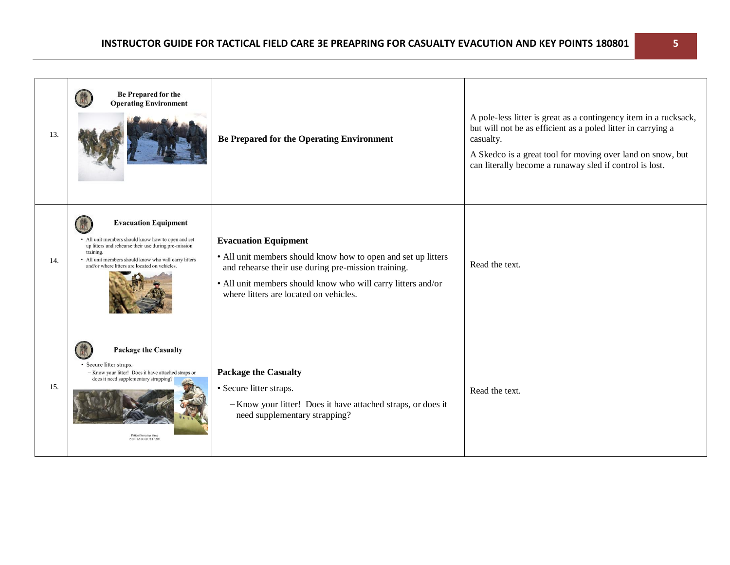| 13. | Be Prepared for the<br><b>Operating Environment</b>                                                                                                                                                                                                              | <b>Be Prepared for the Operating Environment</b>                                                                                                                                                                                                              | A pole-less litter is great as a contingency item in a rucksack,<br>but will not be as efficient as a poled litter in carrying a<br>casualty.<br>A Skedco is a great tool for moving over land on snow, but<br>can literally become a runaway sled if control is lost. |
|-----|------------------------------------------------------------------------------------------------------------------------------------------------------------------------------------------------------------------------------------------------------------------|---------------------------------------------------------------------------------------------------------------------------------------------------------------------------------------------------------------------------------------------------------------|------------------------------------------------------------------------------------------------------------------------------------------------------------------------------------------------------------------------------------------------------------------------|
| 14. | <b>Evacuation Equipment</b><br>• All unit members should know how to open and set<br>up litters and rehearse their use during pre-mission<br>training.<br>• All unit members should know who will carry litters<br>and/or where litters are located on vehicles. | <b>Evacuation Equipment</b><br>• All unit members should know how to open and set up litters<br>and rehearse their use during pre-mission training.<br>• All unit members should know who will carry litters and/or<br>where litters are located on vehicles. | Read the text.                                                                                                                                                                                                                                                         |
| 15. | <b>Package the Casualty</b><br>· Secure litter straps.<br>- Know your litter! Does it have attached straps or<br>does it need supplementary strapping?<br><b>Patient Securing Strap</b><br>NSN: 6530-00-784-4205                                                 | <b>Package the Casualty</b><br>· Secure litter straps.<br>-Know your litter! Does it have attached straps, or does it<br>need supplementary strapping?                                                                                                        | Read the text.                                                                                                                                                                                                                                                         |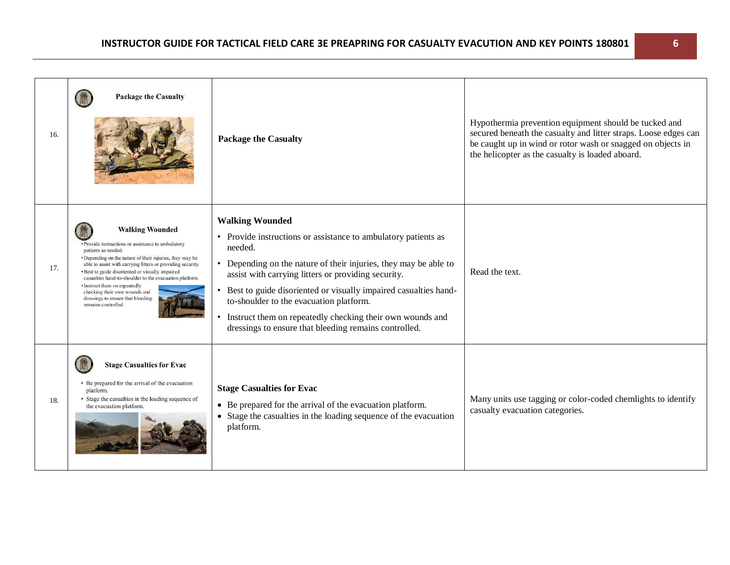| 16. | <b>Package the Casualty</b>                                                                                                                                                                                                                                                                                                                                                                                                                                                 | <b>Package the Casualty</b>                                                                                                                                                                                                                                                                                                                                                                                                                                    | Hypothermia prevention equipment should be tucked and<br>secured beneath the casualty and litter straps. Loose edges can<br>be caught up in wind or rotor wash or snagged on objects in<br>the helicopter as the casualty is loaded aboard. |
|-----|-----------------------------------------------------------------------------------------------------------------------------------------------------------------------------------------------------------------------------------------------------------------------------------------------------------------------------------------------------------------------------------------------------------------------------------------------------------------------------|----------------------------------------------------------------------------------------------------------------------------------------------------------------------------------------------------------------------------------------------------------------------------------------------------------------------------------------------------------------------------------------------------------------------------------------------------------------|---------------------------------------------------------------------------------------------------------------------------------------------------------------------------------------------------------------------------------------------|
| 17. | <b>Walking Wounded</b><br>• Provide instructions or assistance to ambulatory<br>patients as needed.<br>• Depending on the nature of their injuries, they may be<br>able to assist with carrying litters or providing security.<br>· Best to guide disoriented or visually impaired<br>casualties hand-to-shoulder to the evacuation platform.<br>• Instruct them on repeatedly<br>checking their own wounds and<br>dressings to ensure that bleeding<br>remains controlled. | <b>Walking Wounded</b><br>Provide instructions or assistance to ambulatory patients as<br>needed.<br>Depending on the nature of their injuries, they may be able to<br>assist with carrying litters or providing security.<br>Best to guide disoriented or visually impaired casualties hand-<br>to-shoulder to the evacuation platform.<br>Instruct them on repeatedly checking their own wounds and<br>dressings to ensure that bleeding remains controlled. | Read the text.                                                                                                                                                                                                                              |
| 18. | <b>Stage Casualties for Evac</b><br>• Be prepared for the arrival of the evacuation<br>platform.<br>• Stage the casualties in the loading sequence of<br>the evacuation platform.                                                                                                                                                                                                                                                                                           | <b>Stage Casualties for Evac</b><br>• Be prepared for the arrival of the evacuation platform.<br>• Stage the casualties in the loading sequence of the evacuation<br>platform.                                                                                                                                                                                                                                                                                 | Many units use tagging or color-coded chemlights to identify<br>casualty evacuation categories.                                                                                                                                             |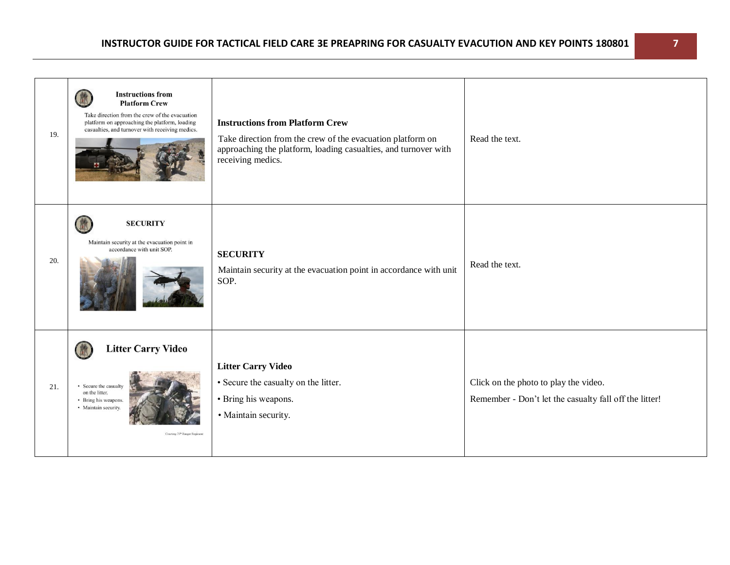| 19. | <b>Instructions from</b><br><b>Platform Crew</b><br>Take direction from the crew of the evacuation<br>platform on approaching the platform, loading<br>casualties, and turnover with receiving medics. | <b>Instructions from Platform Crew</b><br>Take direction from the crew of the evacuation platform on<br>approaching the platform, loading casualties, and turnover with<br>receiving medics. | Read the text.                                                                                  |
|-----|--------------------------------------------------------------------------------------------------------------------------------------------------------------------------------------------------------|----------------------------------------------------------------------------------------------------------------------------------------------------------------------------------------------|-------------------------------------------------------------------------------------------------|
| 20. | <b>SECURITY</b><br>Maintain security at the evacuation point in<br>accordance with unit SOP.                                                                                                           | <b>SECURITY</b><br>Maintain security at the evacuation point in accordance with unit<br>SOP.                                                                                                 | Read the text.                                                                                  |
| 21. | <b>Litter Carry Video</b><br>• Secure the casualty<br>on the litter.<br>• Bring his weapons.<br>• Maintain security.<br>Courtesy 75 <sup>th</sup> Ranger Regiment                                      | <b>Litter Carry Video</b><br>• Secure the casualty on the litter.<br>• Bring his weapons.<br>· Maintain security.                                                                            | Click on the photo to play the video.<br>Remember - Don't let the casualty fall off the litter! |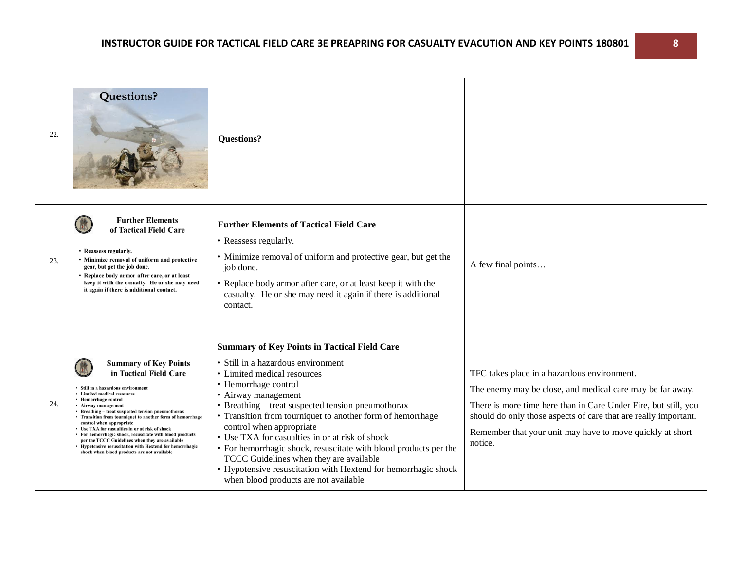| 22. | <b>Questions?</b>                                                                                                                                                                                                                                                                                                                                                                                                                                                                                                                                                                                       | <b>Questions?</b>                                                                                                                                                                                                                                                                                                                                                                                                                                                                                                                                                                                    |                                                                                                                                                                                                                                                                                                                        |
|-----|---------------------------------------------------------------------------------------------------------------------------------------------------------------------------------------------------------------------------------------------------------------------------------------------------------------------------------------------------------------------------------------------------------------------------------------------------------------------------------------------------------------------------------------------------------------------------------------------------------|------------------------------------------------------------------------------------------------------------------------------------------------------------------------------------------------------------------------------------------------------------------------------------------------------------------------------------------------------------------------------------------------------------------------------------------------------------------------------------------------------------------------------------------------------------------------------------------------------|------------------------------------------------------------------------------------------------------------------------------------------------------------------------------------------------------------------------------------------------------------------------------------------------------------------------|
| 23. | <b>Further Elements</b><br>of Tactical Field Care<br>• Reassess regularly.<br>• Minimize removal of uniform and protective<br>gear, but get the job done.<br>• Replace body armor after care, or at least<br>keep it with the casualty. He or she may need<br>it again if there is additional contact.                                                                                                                                                                                                                                                                                                  | <b>Further Elements of Tactical Field Care</b><br>• Reassess regularly.<br>• Minimize removal of uniform and protective gear, but get the<br>job done.<br>• Replace body armor after care, or at least keep it with the<br>casualty. He or she may need it again if there is additional<br>contact.                                                                                                                                                                                                                                                                                                  | A few final points                                                                                                                                                                                                                                                                                                     |
| 24. | <b>Summary of Key Points</b><br>in Tactical Field Care<br>· Still in a hazardous environment<br>• Limited medical resources<br>• Hemorrhage control<br>• Airway management<br>• Breathing – treat suspected tension pneumothorax<br>• Transition from tourniquet to another form of hemorrhage<br>control when appropriate<br>• Use TXA for casualties in or at risk of shock<br>• For hemorrhagic shock, resuscitate with blood products<br>per the TCCC Guidelines when they are available<br>• Hypotensive resuscitation with Hextend for hemorrhagic<br>shock when blood products are not available | <b>Summary of Key Points in Tactical Field Care</b><br>· Still in a hazardous environment<br>• Limited medical resources<br>• Hemorrhage control<br>• Airway management<br>• Breathing – treat suspected tension pneumothorax<br>• Transition from tourniquet to another form of hemorrhage<br>control when appropriate<br>• Use TXA for casualties in or at risk of shock<br>• For hemorrhagic shock, resuscitate with blood products per the<br>TCCC Guidelines when they are available<br>• Hypotensive resuscitation with Hextend for hemorrhagic shock<br>when blood products are not available | TFC takes place in a hazardous environment.<br>The enemy may be close, and medical care may be far away.<br>There is more time here than in Care Under Fire, but still, you<br>should do only those aspects of care that are really important.<br>Remember that your unit may have to move quickly at short<br>notice. |